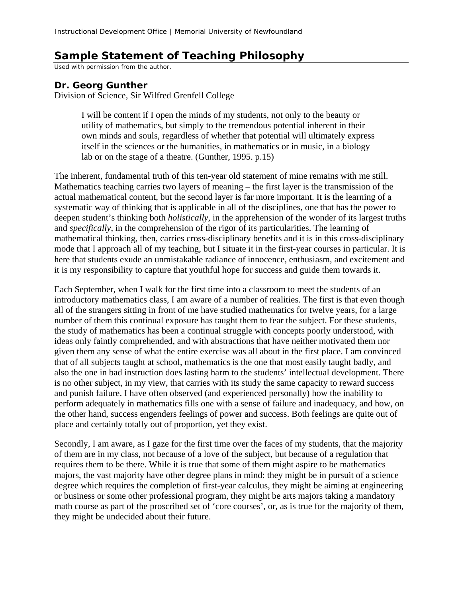## **Sample Statement of Teaching Philosophy**

Used with permission from the author.

## **Dr. Georg Gunther**

Division of Science, Sir Wilfred Grenfell College

I will be content if I open the minds of my students, not only to the beauty or utility of mathematics, but simply to the tremendous potential inherent in their own minds and souls, regardless of whether that potential will ultimately express itself in the sciences or the humanities, in mathematics or in music, in a biology lab or on the stage of a theatre. (Gunther, 1995. p.15)

The inherent, fundamental truth of this ten-year old statement of mine remains with me still. Mathematics teaching carries two layers of meaning – the first layer is the transmission of the actual mathematical content, but the second layer is far more important. It is the learning of a systematic way of thinking that is applicable in all of the disciplines, one that has the power to deepen student's thinking both *holistically*, in the apprehension of the wonder of its largest truths and *specifically*, in the comprehension of the rigor of its particularities. The learning of mathematical thinking, then, carries cross-disciplinary benefits and it is in this cross-disciplinary mode that I approach all of my teaching, but I situate it in the first-year courses in particular. It is here that students exude an unmistakable radiance of innocence, enthusiasm, and excitement and it is my responsibility to capture that youthful hope for success and guide them towards it.

Each September, when I walk for the first time into a classroom to meet the students of an introductory mathematics class, I am aware of a number of realities. The first is that even though all of the strangers sitting in front of me have studied mathematics for twelve years, for a large number of them this continual exposure has taught them to fear the subject. For these students, the study of mathematics has been a continual struggle with concepts poorly understood, with ideas only faintly comprehended, and with abstractions that have neither motivated them nor given them any sense of what the entire exercise was all about in the first place. I am convinced that of all subjects taught at school, mathematics is the one that most easily taught badly, and also the one in bad instruction does lasting harm to the students' intellectual development. There is no other subject, in my view, that carries with its study the same capacity to reward success and punish failure. I have often observed (and experienced personally) how the inability to perform adequately in mathematics fills one with a sense of failure and inadequacy, and how, on the other hand, success engenders feelings of power and success. Both feelings are quite out of place and certainly totally out of proportion, yet they exist.

Secondly, I am aware, as I gaze for the first time over the faces of my students, that the majority of them are in my class, not because of a love of the subject, but because of a regulation that requires them to be there. While it is true that some of them might aspire to be mathematics majors, the vast majority have other degree plans in mind: they might be in pursuit of a science degree which requires the completion of first-year calculus, they might be aiming at engineering or business or some other professional program, they might be arts majors taking a mandatory math course as part of the proscribed set of 'core courses', or, as is true for the majority of them, they might be undecided about their future.